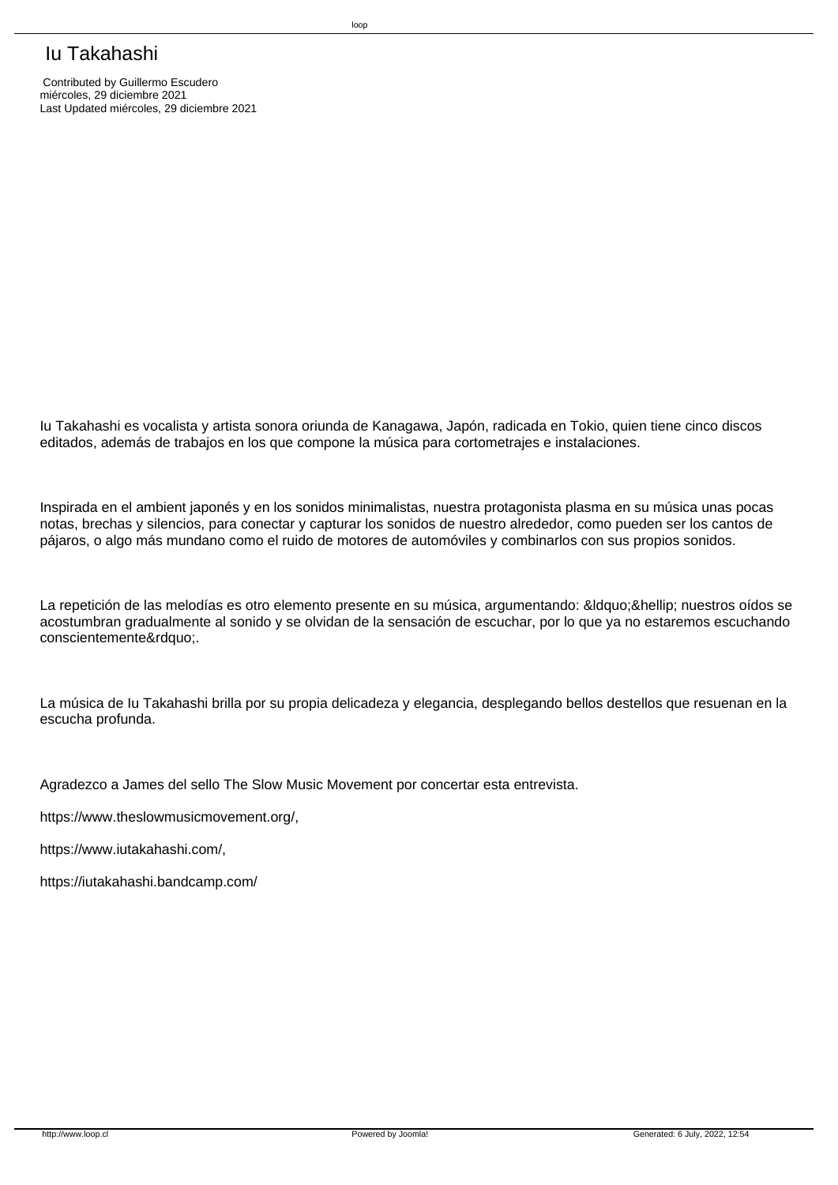## Iu Takahashi

 Contributed by Guillermo Escudero miércoles, 29 diciembre 2021 Last Updated miércoles, 29 diciembre 2021

 Iu Takahashi es vocalista y artista sonora oriunda de Kanagawa, Japón, radicada en Tokio, quien tiene cinco discos editados, además de trabajos en los que compone la música para cortometrajes e instalaciones.

 Inspirada en el ambient japonés y en los sonidos minimalistas, nuestra protagonista plasma en su música unas pocas notas, brechas y silencios, para conectar y capturar los sonidos de nuestro alrededor, como pueden ser los cantos de pájaros, o algo más mundano como el ruido de motores de automóviles y combinarlos con sus propios sonidos.

La repetición de las melodías es otro elemento presente en su música, argumentando: "… nuestros oídos se acostumbran gradualmente al sonido y se olvidan de la sensación de escuchar, por lo que ya no estaremos escuchando conscientemente".

 La música de Iu Takahashi brilla por su propia delicadeza y elegancia, desplegando bellos destellos que resuenan en la escucha profunda.

 Agradezco a James del sello The Slow Music Movement por concertar esta entrevista.

 https://www.theslowmusicmovement.org/,

 https://www.iutakahashi.com/,

 https://iutakahashi.bandcamp.com/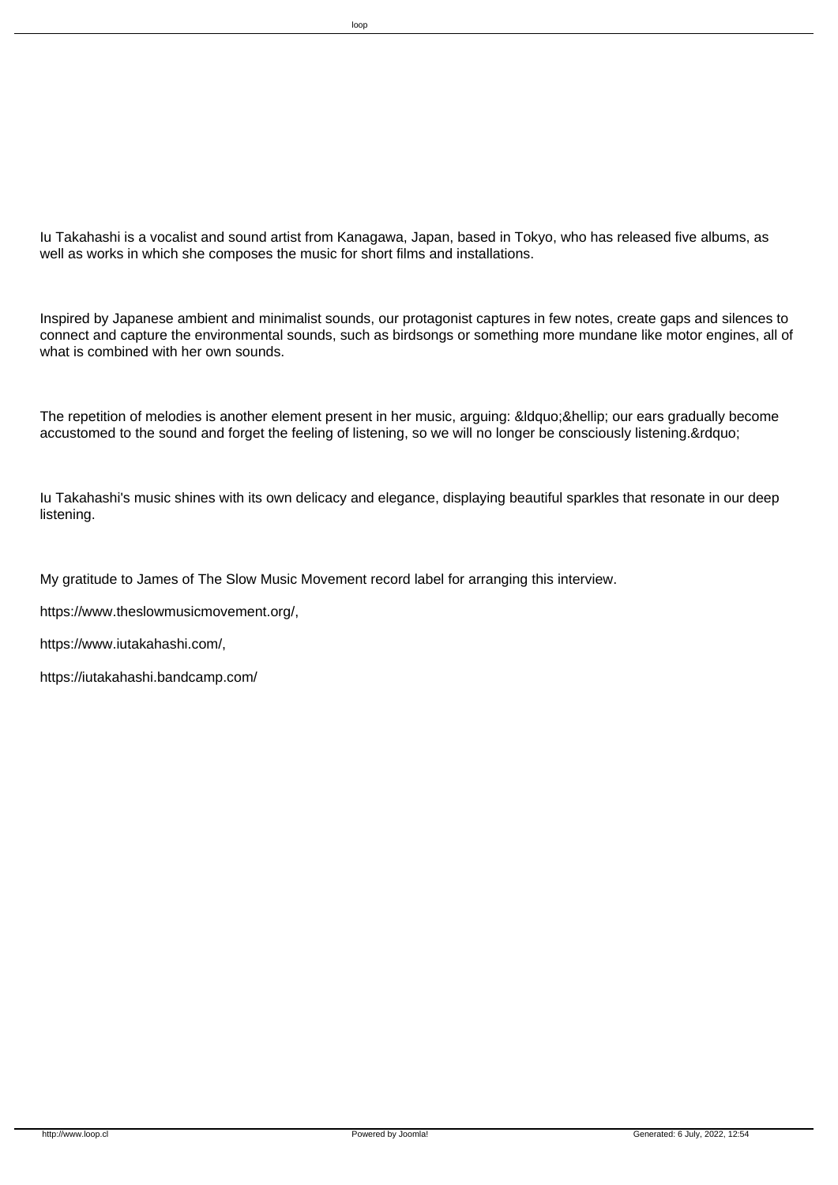Iu Takahashi is a vocalist and sound artist from Kanagawa, Japan, based in Tokyo, who has released five albums, as well as works in which she composes the music for short films and installations.

 Inspired by Japanese ambient and minimalist sounds, our protagonist captures in few notes, create gaps and silences to connect and capture the environmental sounds, such as birdsongs or something more mundane like motor engines, all of what is combined with her own sounds.

The repetition of melodies is another element present in her music, arguing: &Idquo;… our ears gradually become accustomed to the sound and forget the feeling of listening, so we will no longer be consciously listening."

 Iu Takahashi's music shines with its own delicacy and elegance, displaying beautiful sparkles that resonate in our deep listening.

 My gratitude to James of The Slow Music Movement record label for arranging this interview.

 https://www.theslowmusicmovement.org/,

 https://www.iutakahashi.com/,

 https://iutakahashi.bandcamp.com/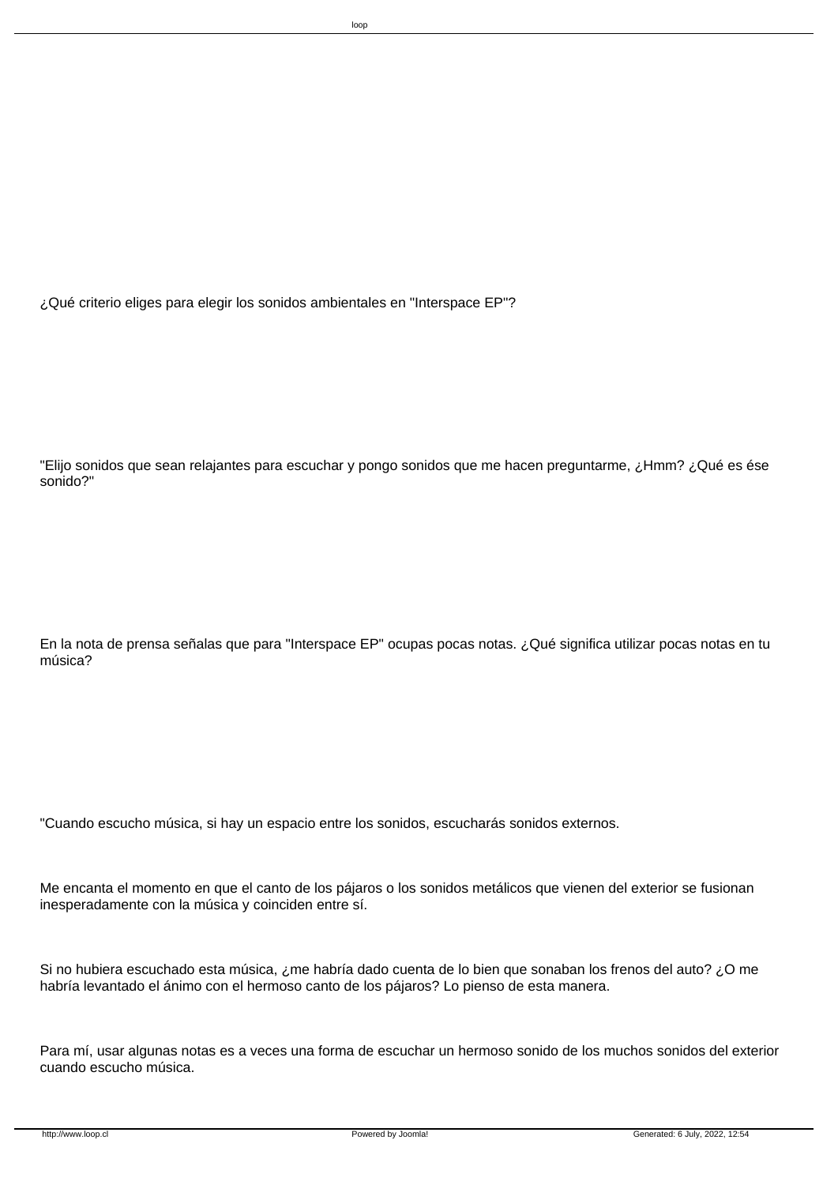¿Qué criterio eliges para elegir los sonidos ambientales en "Interspace EP"?

 "Elijo sonidos que sean relajantes para escuchar y pongo sonidos que me hacen preguntarme, ¿Hmm? ¿Qué es ése sonido?"

 En la nota de prensa señalas que para "Interspace EP" ocupas pocas notas. ¿Qué significa utilizar pocas notas en tu música?

 "Cuando escucho música, si hay un espacio entre los sonidos, escucharás sonidos externos.

 Me encanta el momento en que el canto de los pájaros o los sonidos metálicos que vienen del exterior se fusionan inesperadamente con la música y coinciden entre sí.

 Si no hubiera escuchado esta música, ¿me habría dado cuenta de lo bien que sonaban los frenos del auto? ¿O me habría levantado el ánimo con el hermoso canto de los pájaros? Lo pienso de esta manera.

 Para mí, usar algunas notas es a veces una forma de escuchar un hermoso sonido de los muchos sonidos del exterior cuando escucho música.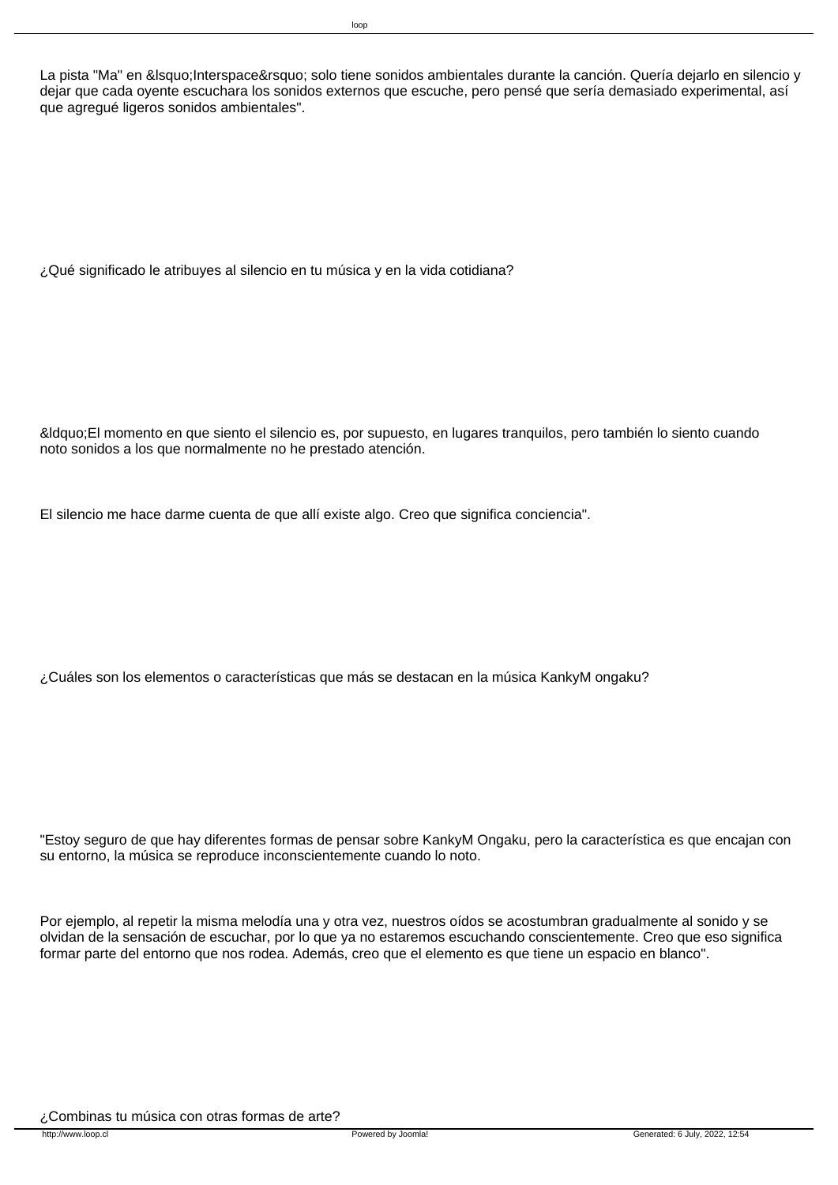La pista "Ma" en &Isquo; Interspace' solo tiene sonidos ambientales durante la canción. Quería dejarlo en silencio y dejar que cada oyente escuchara los sonidos externos que escuche, pero pensé que sería demasiado experimental, así que agregué ligeros sonidos ambientales".

 ¿Qué significado le atribuyes al silencio en tu música y en la vida cotidiana?

 "El momento en que siento el silencio es, por supuesto, en lugares tranquilos, pero también lo siento cuando noto sonidos a los que normalmente no he prestado atención.

 El silencio me hace darme cuenta de que allí existe algo. Creo que significa conciencia".

 ¿Cuáles son los elementos o características que más se destacan en la música KankyM ongaku?

 "Estoy seguro de que hay diferentes formas de pensar sobre KankyM Ongaku, pero la característica es que encajan con su entorno, la música se reproduce inconscientemente cuando lo noto.

 Por ejemplo, al repetir la misma melodía una y otra vez, nuestros oídos se acostumbran gradualmente al sonido y se olvidan de la sensación de escuchar, por lo que ya no estaremos escuchando conscientemente. Creo que eso significa formar parte del entorno que nos rodea. Además, creo que el elemento es que tiene un espacio en blanco".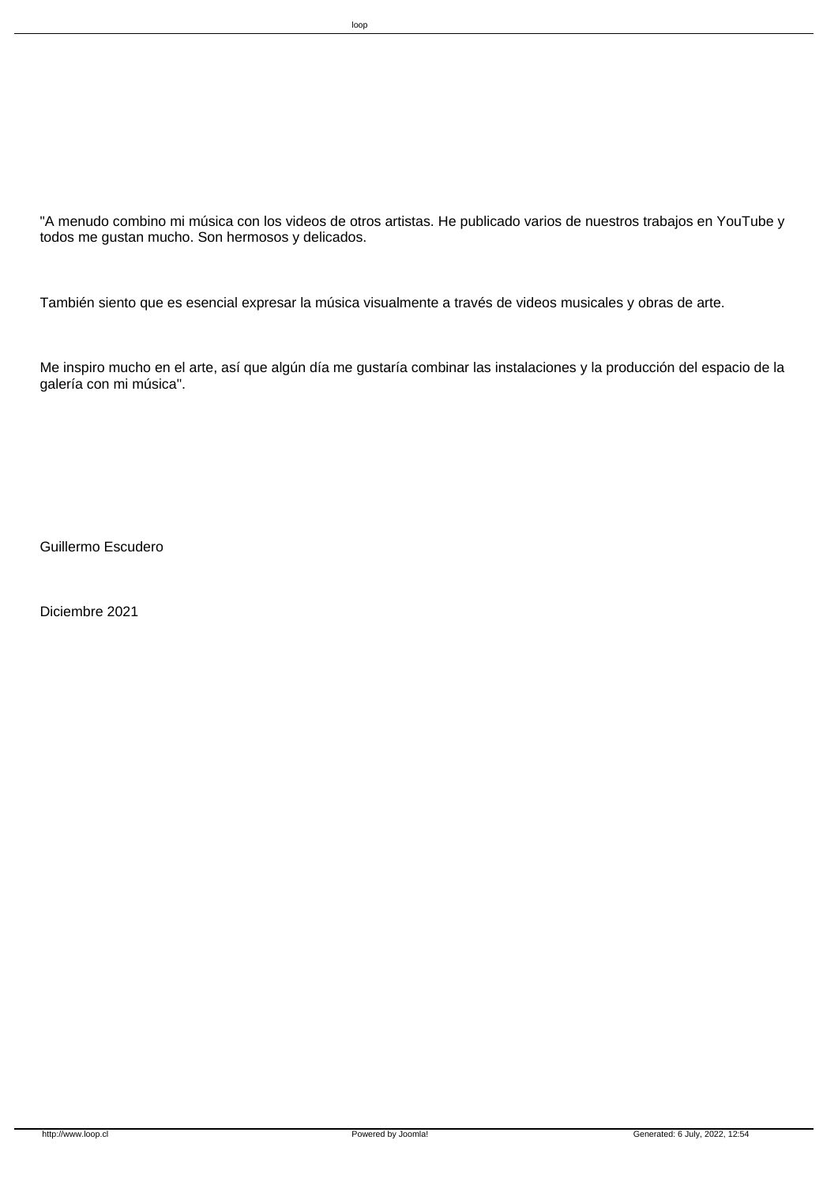"A menudo combino mi música con los videos de otros artistas. He publicado varios de nuestros trabajos en YouTube y todos me gustan mucho. Son hermosos y delicados.

 También siento que es esencial expresar la música visualmente a través de videos musicales y obras de arte.

 Me inspiro mucho en el arte, así que algún día me gustaría combinar las instalaciones y la producción del espacio de la galería con mi música".

 Guillermo Escudero

 Diciembre 2021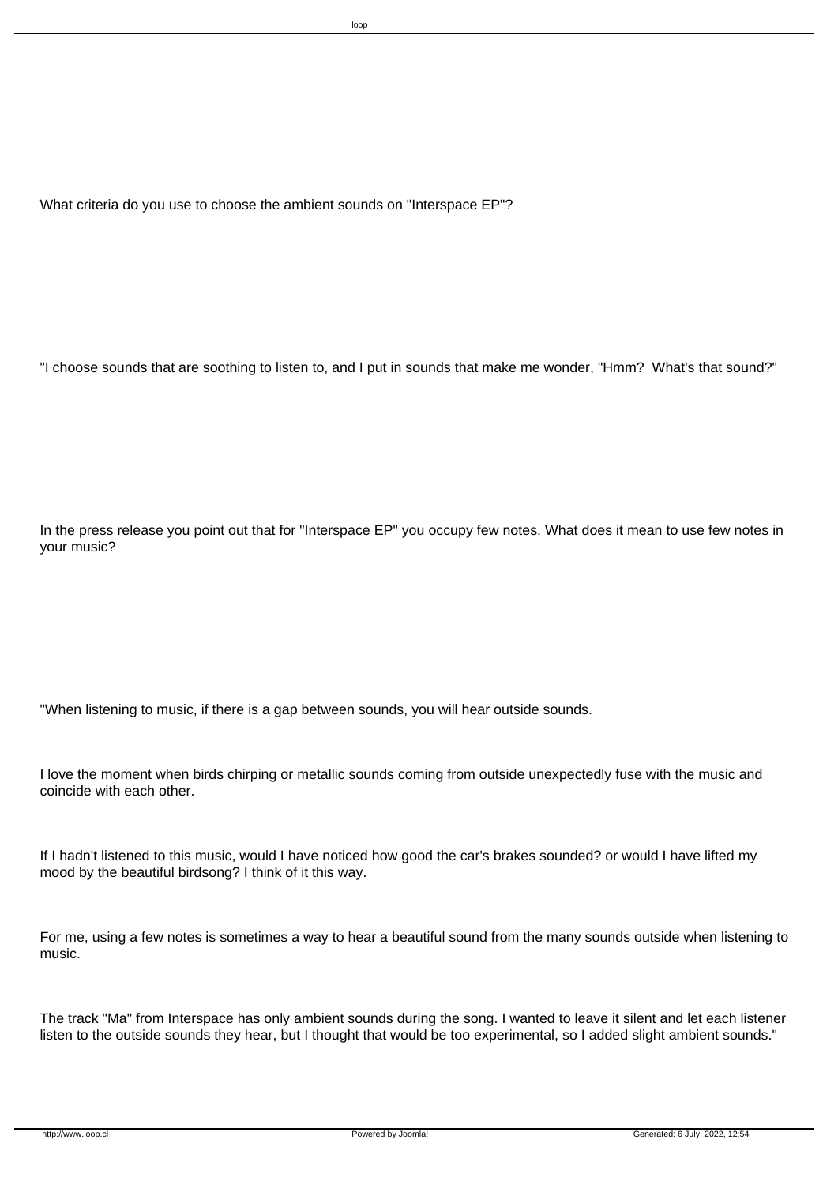What criteria do you use to choose the ambient sounds on "Interspace EP"?

 "I choose sounds that are soothing to listen to, and I put in sounds that make me wonder, "Hmm? What's that sound?"

 In the press release you point out that for "Interspace EP" you occupy few notes. What does it mean to use few notes in your music?

 "When listening to music, if there is a gap between sounds, you will hear outside sounds.

 I love the moment when birds chirping or metallic sounds coming from outside unexpectedly fuse with the music and coincide with each other.

 If I hadn't listened to this music, would I have noticed how good the car's brakes sounded? or would I have lifted my mood by the beautiful birdsong? I think of it this way.

 For me, using a few notes is sometimes a way to hear a beautiful sound from the many sounds outside when listening to music.

 The track "Ma" from Interspace has only ambient sounds during the song. I wanted to leave it silent and let each listener listen to the outside sounds they hear, but I thought that would be too experimental, so I added slight ambient sounds."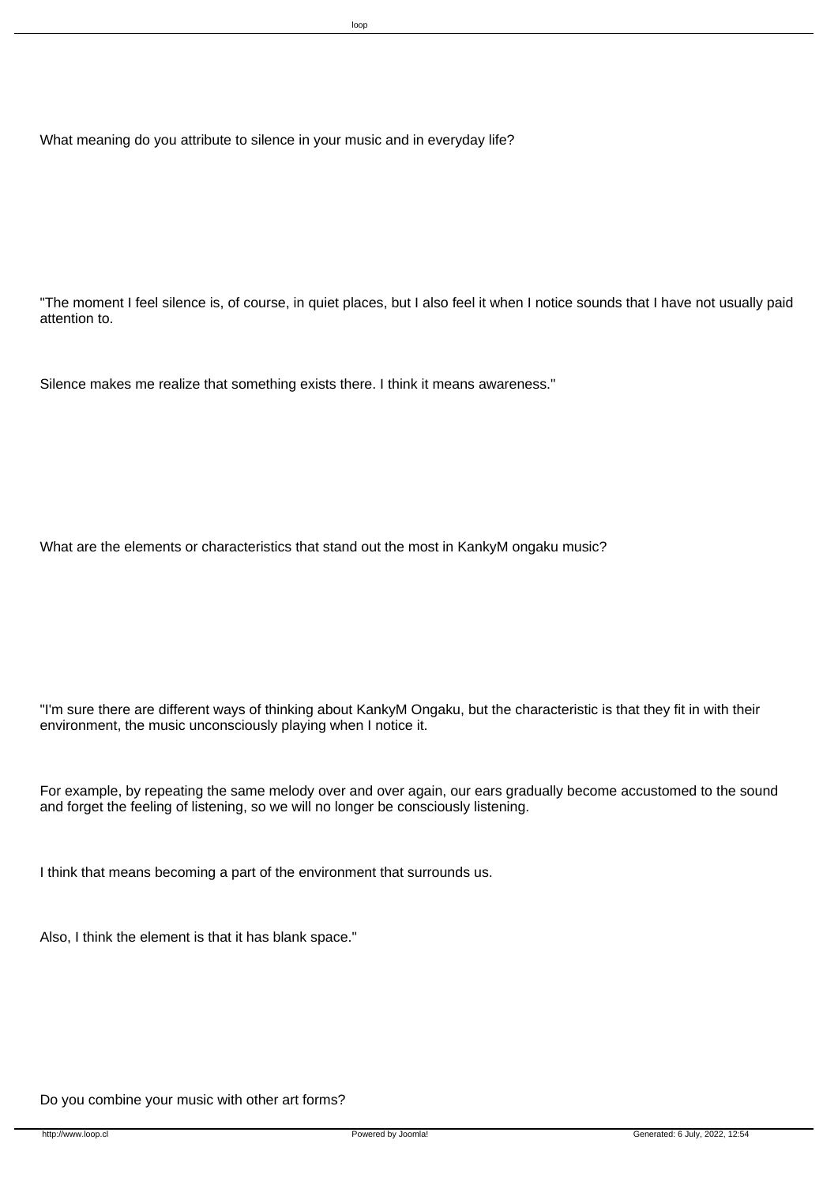What meaning do you attribute to silence in your music and in everyday life?

 "The moment I feel silence is, of course, in quiet places, but I also feel it when I notice sounds that I have not usually paid attention to.

 Silence makes me realize that something exists there. I think it means awareness."

 What are the elements or characteristics that stand out the most in KankyM ongaku music?

 "I'm sure there are different ways of thinking about KankyM Ongaku, but the characteristic is that they fit in with their environment, the music unconsciously playing when I notice it.

 For example, by repeating the same melody over and over again, our ears gradually become accustomed to the sound and forget the feeling of listening, so we will no longer be consciously listening.

 I think that means becoming a part of the environment that surrounds us.

 Also, I think the element is that it has blank space."

 Do you combine your music with other art forms?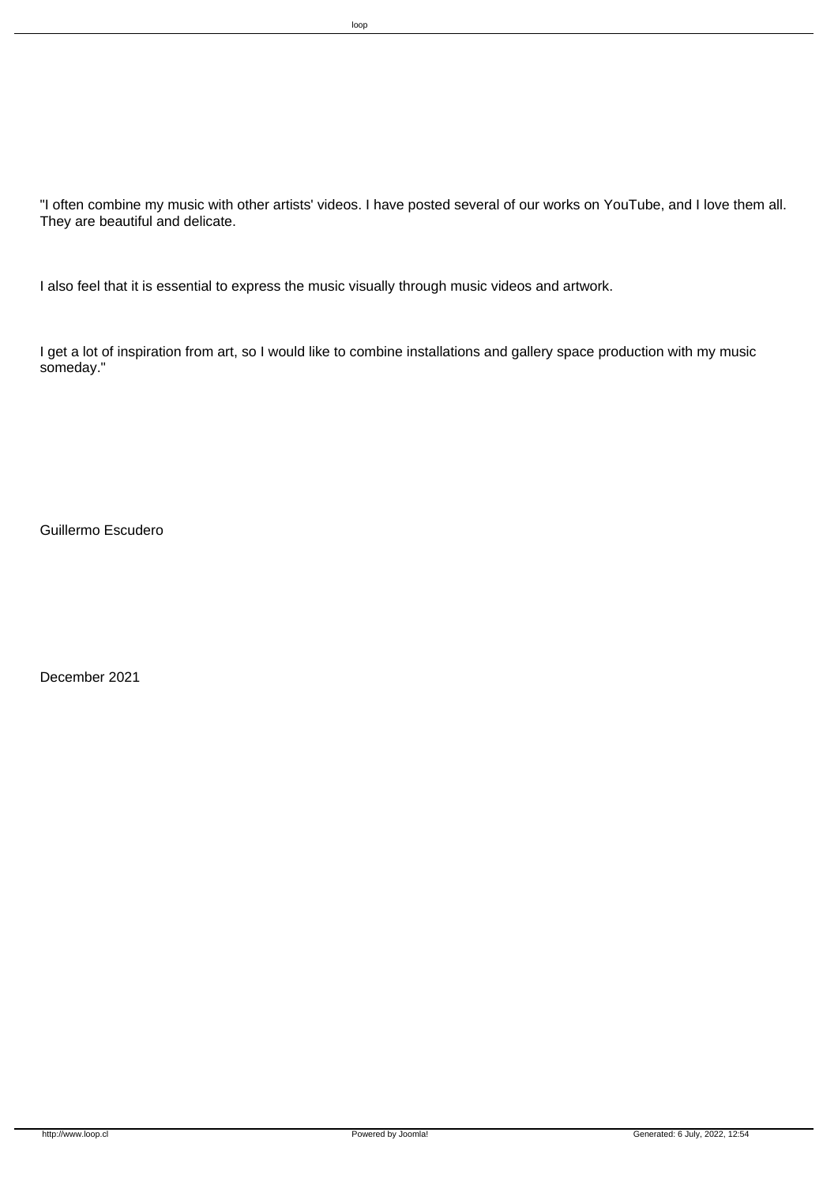"I often combine my music with other artists' videos. I have posted several of our works on YouTube, and I love them all. They are beautiful and delicate.

 I also feel that it is essential to express the music visually through music videos and artwork.

 I get a lot of inspiration from art, so I would like to combine installations and gallery space production with my music someday."

 Guillermo Escudero

 December 2021